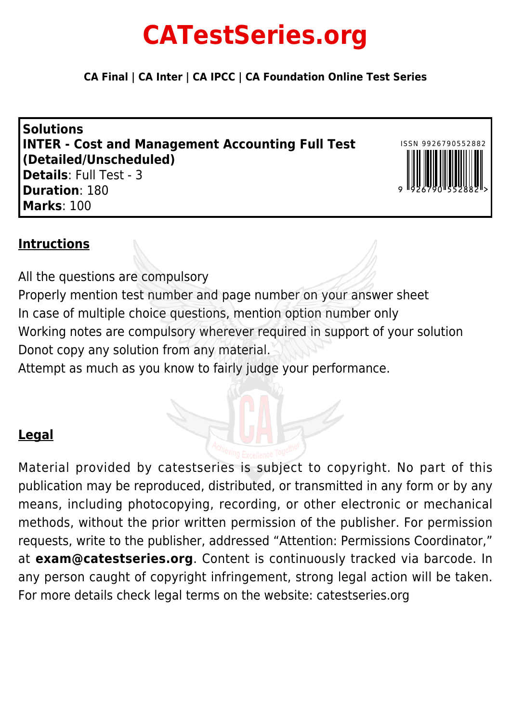# **CATestSeries.org**

**CA Final | CA Inter | CA IPCC | CA Foundation Online Test Series**

**Solutions INTER - Cost and Management Accounting Full Test (Detailed/Unscheduled) Details**: Full Test - 3 **Duration**: 180 **Marks**: 100



### **Intructions**

All the questions are compulsory Properly mention test number and page number on your answer sheet In case of multiple choice questions, mention option number only Working notes are compulsory wherever required in support of your solution Donot copy any solution from any material.

Attempt as much as you know to fairly judge your performance.

## **Legal**

Material provided by catestseries is subject to copyright. No part of this publication may be reproduced, distributed, or transmitted in any form or by any means, including photocopying, recording, or other electronic or mechanical methods, without the prior written permission of the publisher. For permission requests, write to the publisher, addressed "Attention: Permissions Coordinator," at **exam@catestseries.org**. Content is continuously tracked via barcode. In any person caught of copyright infringement, strong legal action will be taken. For more details check legal terms on the website: catestseries.org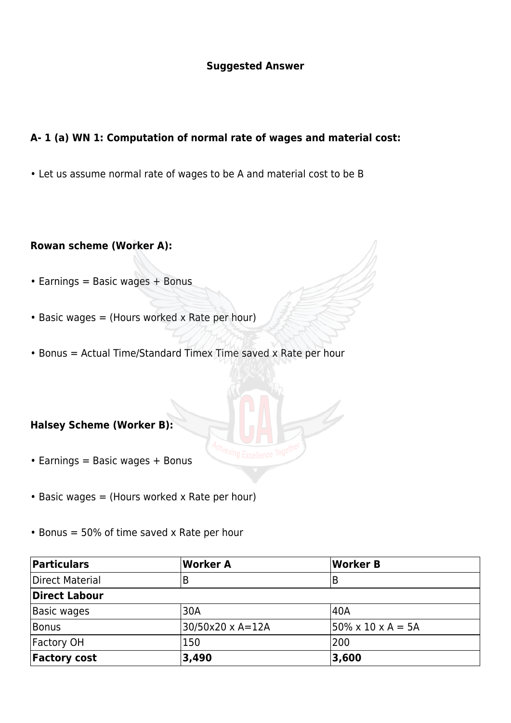#### **Suggested Answer**

#### **A- 1 (a) WN 1: Computation of normal rate of wages and material cost:**

• Let us assume normal rate of wages to be A and material cost to be B

#### **Rowan scheme (Worker A):**

- $\cdot$  Earnings = Basic wages + Bonus
- $\bullet$  Basic wages = (Hours worked x Rate per hour)
- Bonus = Actual Time/Standard Timex Time saved x Rate per hour

#### **Halsey Scheme (Worker B):**

- Earnings = Basic wages + Bonus
- Basic wages = (Hours worked x Rate per hour)
- $\cdot$  Bonus = 50% of time saved x Rate per hour

| Particulars         | Worker A         | <b>Worker B</b>                 |
|---------------------|------------------|---------------------------------|
| Direct Material     |                  | B                               |
| Direct Labour       |                  |                                 |
| Basic wages         | 30A              | 140A                            |
| Bonus               | 30/50x20 x A=12A | $ 50\% \times 10 \times A = 5A$ |
| <b>Factory OH</b>   | 150              | l200                            |
| <b>Factory cost</b> | 3,490            | 3,600                           |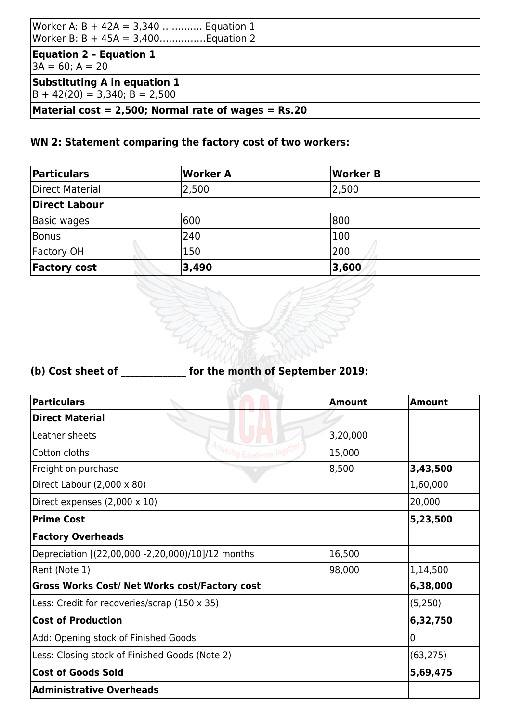| Worker A: $B + 42A = 3,340$ Equation 1<br>Worker B: B + 45A = 3,400Equation 2 |  |
|-------------------------------------------------------------------------------|--|
| <b>Equation 2 - Equation 1</b><br>$3A = 60; A = 20$                           |  |
| Substituting A in equation 1<br>$ B + 42(20) = 3,340; B = 2,500$              |  |
| Material cost = 2,500; Normal rate of wages = $Rs.20$                         |  |

### **WN 2: Statement comparing the factory cost of two workers:**

| Particulars         | Worker A | Worker B |
|---------------------|----------|----------|
| Direct Material     | 2,500    | 2,500    |
| Direct Labour       |          |          |
| Basic wages         | 600      | 800      |
| Bonus               | 240      | 100      |
| Factory OH          | 150      | 200      |
| <b>Factory cost</b> | 3,490    | 3,600    |

### **(b) Cost sheet of \_\_\_\_\_\_\_\_\_\_\_\_\_\_ for the month of September 2019:**

| <b>Particulars</b>                                          | <b>Amount</b> | <b>Amount</b>  |
|-------------------------------------------------------------|---------------|----------------|
| <b>Direct Material</b>                                      |               |                |
| Leather sheets                                              | 3,20,000      |                |
| Cotton cloths<br><sup>ving</sup> Excellence <sup>109'</sup> | 15,000        |                |
| Freight on purchase                                         | 8,500         | 3,43,500       |
| Direct Labour $(2,000 \times 80)$                           |               | 1,60,000       |
| Direct expenses $(2,000 \times 10)$                         |               | 20,000         |
| <b>Prime Cost</b>                                           |               | 5,23,500       |
| <b>Factory Overheads</b>                                    |               |                |
| Depreciation [(22,00,000 -2,20,000)/10]/12 months           | 16,500        |                |
| Rent (Note 1)                                               | 98,000        | 1,14,500       |
| Gross Works Cost/ Net Works cost/Factory cost               |               | 6,38,000       |
| Less: Credit for recoveries/scrap (150 x 35)                |               | (5,250)        |
| <b>Cost of Production</b>                                   |               | 6,32,750       |
| Add: Opening stock of Finished Goods                        |               | $\overline{0}$ |
| Less: Closing stock of Finished Goods (Note 2)              |               | (63, 275)      |
| <b>Cost of Goods Sold</b>                                   |               | 5,69,475       |
| <b>Administrative Overheads</b>                             |               |                |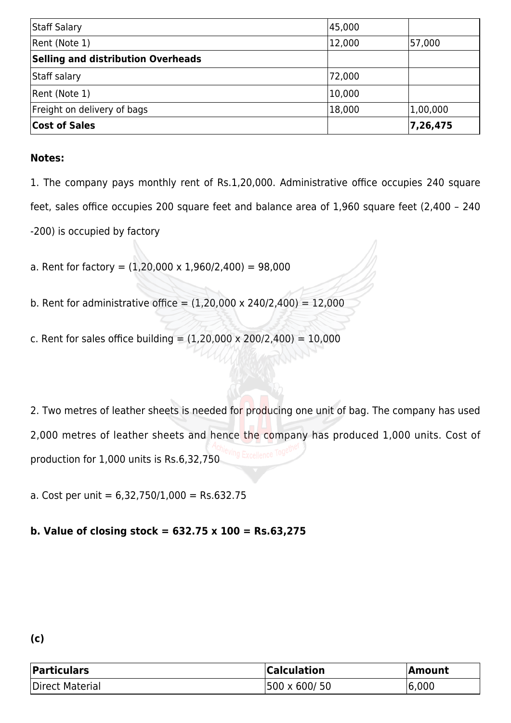| Staff Salary                              | 45,000 |          |
|-------------------------------------------|--------|----------|
| Rent (Note 1)                             | 12,000 | 57,000   |
| <b>Selling and distribution Overheads</b> |        |          |
| Staff salary                              | 72,000 |          |
| Rent (Note 1)                             | 10,000 |          |
| Freight on delivery of bags               | 18,000 | 1,00,000 |
| <b>Cost of Sales</b>                      |        | 7,26,475 |

1. The company pays monthly rent of Rs.1,20,000. Administrative office occupies 240 square feet, sales office occupies 200 square feet and balance area of 1,960 square feet (2,400 – 240 -200) is occupied by factory

a. Rent for factory =  $(1,20,000 \times 1,960/2,400) = 98,000$ 

- b. Rent for administrative office =  $(1,20,000 \times 240/2,400) = 12,000$
- c. Rent for sales office building =  $(1,20,000 \times 200/2,400) = 10,000$

2. Two metres of leather sheets is needed for producing one unit of bag. The company has used 2,000 metres of leather sheets and hence the company has produced 1,000 units. Cost of production for 1,000 units is Rs.6,32,750

a. Cost per unit =  $6,32,750/1,000 =$  Rs.632.75

#### **b. Value of closing stock = 632.75 x 100 = Rs.63,275**

### **(c)**

| Particulars     | <b>Calculation</b> | <b>Amount</b> |
|-----------------|--------------------|---------------|
| Direct Material | 500 x 600/ 50      | 6,000         |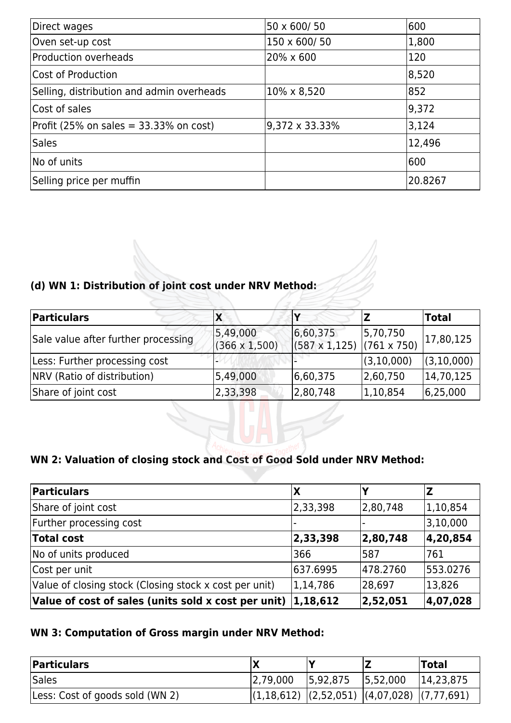| Direct wages                              | 50 x 600/50    | 600     |
|-------------------------------------------|----------------|---------|
| Oven set-up cost                          | 150 x 600/50   | 1,800   |
| <b>Production overheads</b>               | 20% x 600      | 120     |
| Cost of Production                        |                | 8,520   |
| Selling, distribution and admin overheads | 10% x 8,520    | 852     |
| Cost of sales                             |                | 9,372   |
| Profit (25% on sales = $33.33%$ on cost)  | 9,372 x 33.33% | 3,124   |
| <b>Sales</b>                              |                | 12,496  |
| No of units                               |                | 600     |
| Selling price per muffin                  |                | 20.8267 |

### **(d) WN 1: Distribution of joint cost under NRV Method:**

| Particulars                         | ΙX                               |                                               |            | <b>Total</b> |
|-------------------------------------|----------------------------------|-----------------------------------------------|------------|--------------|
| Sale value after further processing | 5,49,000<br>$(366 \times 1,500)$ | 6,60,375<br>$(587 \times 1, 125)$ (761 x 750) | 5,70,750   | 17,80,125    |
| Less: Further processing cost       |                                  |                                               | (3,10,000) | (3,10,000)   |
| NRV (Ratio of distribution)         | 5,49,000                         | 6,60,375                                      | 2,60,750   | 14,70,125    |
| Share of joint cost                 | 2,33,398                         | 2,80,748                                      | 1,10,854   | 6,25,000     |

### **WN 2: Valuation of closing stock and Cost of Good Sold under NRV Method:**

| <b>Particulars</b>                                                     | Χ          |          |            |
|------------------------------------------------------------------------|------------|----------|------------|
| Share of joint cost                                                    | 2,33,398   | 2,80,748 | 1, 10, 854 |
| Further processing cost                                                |            |          | 3,10,000   |
| <b>Total cost</b>                                                      | 2,33,398   | 2,80,748 | 4,20,854   |
| No of units produced                                                   | 366        | 587      | 1761       |
| Cost per unit                                                          | 637.6995   | 478.2760 | 553.0276   |
| Value of closing stock (Closing stock x cost per unit)                 | 1, 14, 786 | 28,697   | 13,826     |
| Value of cost of sales (units sold x cost per unit) $ 1,18,612\rangle$ |            | 2,52,051 | 4,07,028   |

### **WN 3: Computation of Gross margin under NRV Method:**

| <b>Particulars</b>              |                                                 |          |          | 'Total    |
|---------------------------------|-------------------------------------------------|----------|----------|-----------|
| Sales                           | 2,79,000                                        | 5,92,875 | 5,52,000 | 14,23,875 |
| Less: Cost of goods sold (WN 2) | $ (1,18,612) (2,52,051) (4,07,028) (7,77,691) $ |          |          |           |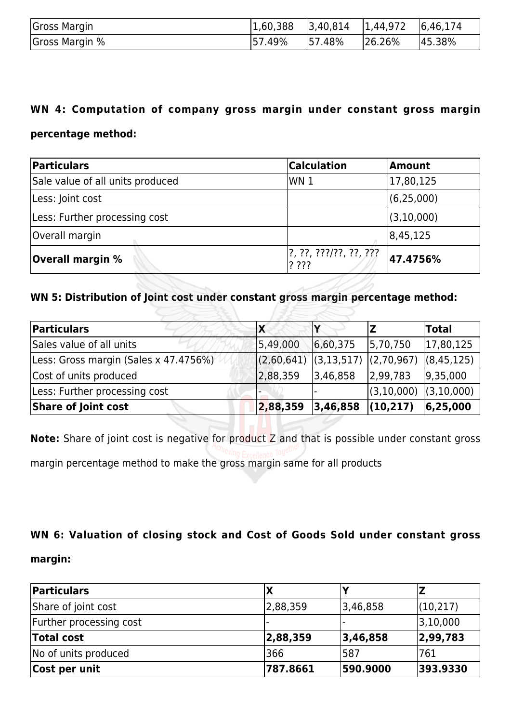| Gross Margin   | 1,60,388 | $ 3,40,814$ $ 1,44,972$ $ 6,46,174$ |        |        |
|----------------|----------|-------------------------------------|--------|--------|
| Gross Margin % | 57.49%   | 57.48%                              | 26.26% | 45.38% |

#### **WN 4: Computation of company gross margin under constant gross margin**

#### **percentage method:**

| Particulars                      | <b>Calculation</b>               | Amount       |
|----------------------------------|----------------------------------|--------------|
| Sale value of all units produced | WN 1                             | 17,80,125    |
| Less: Joint cost                 |                                  | (6, 25, 000) |
| Less: Further processing cost    |                                  | (3, 10, 000) |
| Overall margin                   |                                  | 8,45,125     |
| <b>Overall margin %</b>          | 1?, ??, ???/??, ??, ???<br>? ??? | 47.4756%     |

#### **WN 5: Distribution of Joint cost under constant gross margin percentage method:**

| Particulars                            | IX         |                       |              | <b>Total</b> |
|----------------------------------------|------------|-----------------------|--------------|--------------|
| Sales value of all units               | 5,49,000   | 6,60,375              | 5,70,750     | 17,80,125    |
| [Less: Gross margin (Sales x 47.4756%) | (2,60,641) | (3,13,517) (2,70,967) |              | (8, 45, 125) |
| Cost of units produced                 | 2,88,359   | 3,46,858              | 2,99,783     | 9,35,000     |
| Less: Further processing cost          |            |                       | (3, 10, 000) | (3,10,000)   |
| Share of Joint cost                    | 2,88,359   | 3,46,858              | (10, 217)    | 6,25,000     |

**Note:** Share of joint cost is negative for product Z and that is possible under constant gross margin percentage method to make the gross margin same for all products

#### **WN 6: Valuation of closing stock and Cost of Goods Sold under constant gross**

#### **margin:**

| Particulars             |          |          |           |
|-------------------------|----------|----------|-----------|
| Share of joint cost     | 2,88,359 | 3,46,858 | (10, 217) |
| Further processing cost |          |          | 3,10,000  |
| <b>Total cost</b>       | 2,88,359 | 3,46,858 | 2,99,783  |
| No of units produced    | 366      | 1587     | 761       |
| Cost per unit           | 787.8661 | 590.9000 | 393.9330  |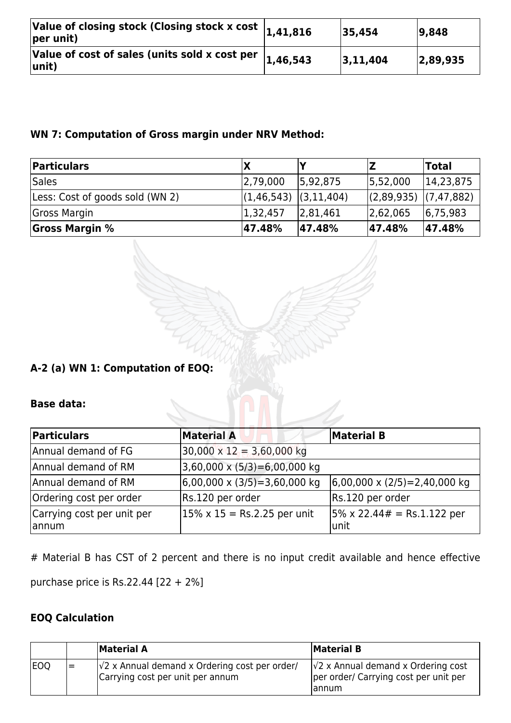| Value of closing stock (Closing stock x cost $ _{1,41,816}$<br>$ per unit\rangle$ |          | 35,454   | 9,848    |
|-----------------------------------------------------------------------------------|----------|----------|----------|
| Value of cost of sales (units sold x cost per<br>$ unit\rangle$                   | 1,46,543 | 3,11,404 | 2,89,935 |

### **WN 7: Computation of Gross margin under NRV Method:**

| <b>Particulars</b>              |                       |          |            | <b>Total</b> |
|---------------------------------|-----------------------|----------|------------|--------------|
| Sales                           | 2,79,000              | 5,92,875 | 5,52,000   | 14,23,875    |
| Less: Cost of goods sold (WN 2) | (1,46,543) (3,11,404) |          | (2,89,935) | (7, 47, 882) |
| Gross Margin                    | 1,32,457              | 2,81,461 | 2,62,065   | 6,75,983     |
| <b>Gross Margin %</b>           | 47.48%                | 47.48%   | 47.48%     | 47.48%       |

### **A-2 (a) WN 1: Computation of EOQ:**

#### **Base data:**

| Particulars                         | <b>Material A</b>                               | <b>Material B</b>                            |
|-------------------------------------|-------------------------------------------------|----------------------------------------------|
| Annual demand of FG                 | $30,000 \times 12 = 3,60,000$ kg                |                                              |
| Annual demand of RM                 | $3,60,000 \times (5/3) = 6,00,000$ kg           |                                              |
| Annual demand of RM                 | $(6,00,000 \times (3/5) = 3,60,000 \text{ kg})$ | $(6,00,000 \times (2/5)) = 2,40,000$ kg      |
| Ordering cost per order             | Rs.120 per order                                | Rs.120 per order                             |
| Carrying cost per unit per<br>annum | $15\% \times 15 =$ Rs.2.25 per unit             | $ 5\% \times 22.44# = Rs.1.122$ per<br>lunit |

# Material B has CST of 2 percent and there is no input credit available and hence effective

purchase price is Rs.22.44 [22 + 2%]

### **EOQ Calculation**

|            |    | <b>Material A</b>                                                                         | Material B                                                                                    |
|------------|----|-------------------------------------------------------------------------------------------|-----------------------------------------------------------------------------------------------|
| <b>EOQ</b> | l= | $\sqrt{2}$ x Annual demand x Ordering cost per order/<br>Carrying cost per unit per annum | $\sqrt{2}$ x Annual demand x Ordering cost<br>per order/ Carrying cost per unit per<br>lannum |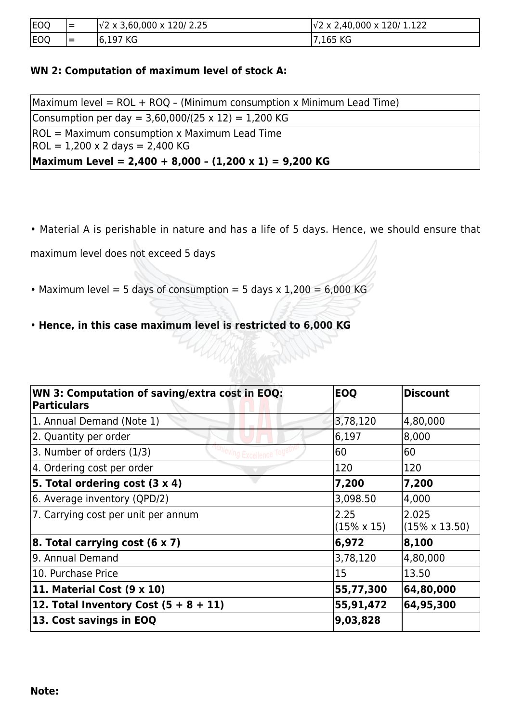| EOQ | $=$ | $\sqrt{2} \times 3,60,000 \times 120/2.25$ | $\sqrt{2}$ x 2,40,000 x 120/ 1.122 |
|-----|-----|--------------------------------------------|------------------------------------|
| EOQ | $=$ | $ 6,197$ KG                                | 7,165 KG                           |

#### **WN 2: Computation of maximum level of stock A:**

| $Maximum$ level = ROL + ROQ - (Minimum consumption x Minimum Lead Time) |  |  |
|-------------------------------------------------------------------------|--|--|
| Consumption per day = $3,60,000/(25 \times 12) = 1,200$ KG              |  |  |
| $ROL = Maximum consumption \times Maximum Lead Time$                    |  |  |
| $ROL = 1,200 \times 2$ days = 2,400 KG                                  |  |  |
| Maximum Level = 2,400 + 8,000 - $(1,200 \times 1)$ = 9,200 KG           |  |  |

• Material A is perishable in nature and has a life of 5 days. Hence, we should ensure that

maximum level does not exceed 5 days

- Maximum level = 5 days of consumption = 5 days x  $1,200 = 6,000$  KG
- **Hence, in this case maximum level is restricted to 6,000 KG**

| <b>WN 3: Computation of saving/extra cost in EOQ:</b><br><b>Particulars</b> | <b>EOQ</b>                 | <b>Discount</b>                |
|-----------------------------------------------------------------------------|----------------------------|--------------------------------|
| 1. Annual Demand (Note 1)                                                   | 3,78,120                   | 4,80,000                       |
| 2. Quantity per order                                                       | 6,197                      | 8,000                          |
| 3. Number of orders (1/3)<br><b>Tha Excellence</b>                          | 60                         | 60                             |
| 4. Ordering cost per order                                                  | 120                        | 120                            |
| 5. Total ordering cost $(3 \times 4)$                                       | 7,200                      | 7,200                          |
| 6. Average inventory (QPD/2)                                                | 3,098.50                   | 4,000                          |
| 7. Carrying cost per unit per annum                                         | 2.25<br>$(15\% \times 15)$ | 2.025<br>$(15\% \times 13.50)$ |
| 8. Total carrying cost $(6 \times 7)$                                       | 6,972                      | 8,100                          |
| 9. Annual Demand                                                            | 3,78,120                   | 4,80,000                       |
| 10. Purchase Price                                                          | 15                         | 13.50                          |
| 11. Material Cost $(9 \times 10)$                                           | 55,77,300                  | 64,80,000                      |
| 12. Total Inventory Cost $(5 + 8 + 11)$                                     | 55,91,472                  | 64,95,300                      |
| 13. Cost savings in EOQ                                                     | 9,03,828                   |                                |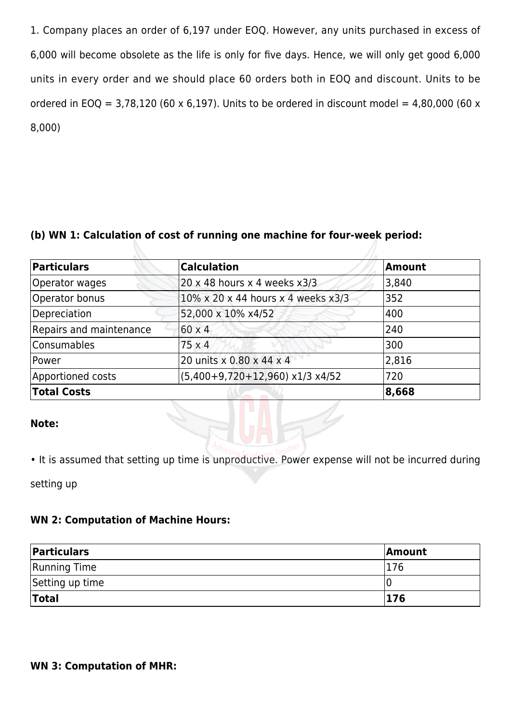1. Company places an order of 6,197 under EOQ. However, any units purchased in excess of 6,000 will become obsolete as the life is only for five days. Hence, we will only get good 6,000 units in every order and we should place 60 orders both in EOQ and discount. Units to be ordered in EOQ = 3,78,120 (60 x 6,197). Units to be ordered in discount model = 4,80,000 (60 x 8,000)

#### **(b) WN 1: Calculation of cost of running one machine for four-week period:**

| Particulars             | <b>Calculation</b>                    | Amount |
|-------------------------|---------------------------------------|--------|
| Operator wages          | $20 \times 48$ hours x 4 weeks $x3/3$ | 3,840  |
| Operator bonus          | 10% x 20 x 44 hours x 4 weeks x3/3    | 352    |
| Depreciation            | 52,000 x 10% x4/52                    | 400    |
| Repairs and maintenance | $60 \times 4$                         | 240    |
| <b>Consumables</b>      | $75 \times 4$                         | 300    |
| Power                   | 20 units x 0.80 x 44 x 4              | 2,816  |
| Apportioned costs       | $(5,400+9,720+12,960)$ x1/3 x4/52     | 720    |
| <b>Total Costs</b>      |                                       | 8,668  |

#### **Note:**

• It is assumed that setting up time is unproductive. Power expense will not be incurred during

setting up

#### **WN 2: Computation of Machine Hours:**

| Particulars         | <b>Amount</b> |
|---------------------|---------------|
| <b>Running Time</b> | 176           |
| Setting up time     |               |
| <b>Total</b>        | 176           |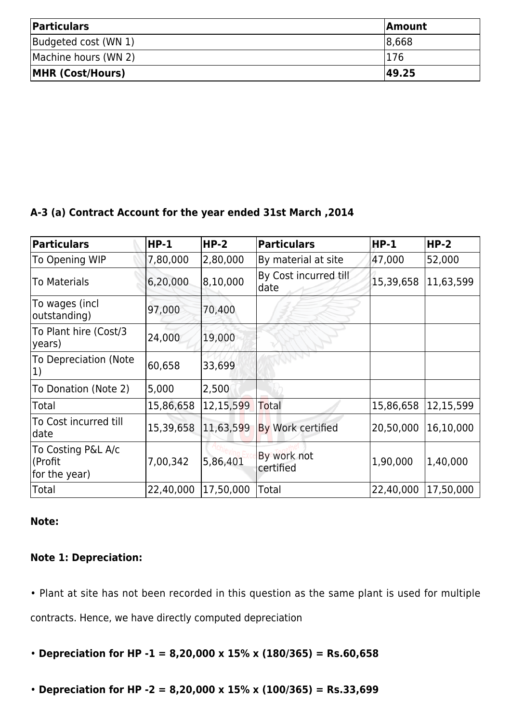| <b>Particulars</b>      | <b>Amount</b> |  |
|-------------------------|---------------|--|
| Budgeted cost (WN 1)    | 8,668         |  |
| Machine hours (WN 2)    | 1176          |  |
| <b>MHR (Cost/Hours)</b> | 49.25         |  |

#### **A-3 (a) Contract Account for the year ended 31st March ,2014**

| <b>Particulars</b>                             | $HP-1$    | $HP-2$    | <b>Particulars</b>            | $HP-1$    | $HP-2$    |
|------------------------------------------------|-----------|-----------|-------------------------------|-----------|-----------|
| To Opening WIP                                 | 7,80,000  | 2,80,000  | By material at site           | 47,000    | 52,000    |
| To Materials                                   | 6,20,000  | 8,10,000  | By Cost incurred till<br>date | 15,39,658 | 11,63,599 |
| To wages (incl<br>outstanding)                 | 97,000    | 70,400    |                               |           |           |
| To Plant hire (Cost/3<br>years)                | 24,000    | 19,000    |                               |           |           |
| To Depreciation (Note<br> 1)                   | 60,658    | 33,699    |                               |           |           |
| To Donation (Note 2)                           | 5,000     | 2,500     |                               |           |           |
| Total                                          | 15,86,658 | 12,15,599 | Total                         | 15,86,658 | 12,15,599 |
| To Cost incurred till<br>date                  | 15,39,658 | 11,63,599 | By Work certified             | 20,50,000 | 16,10,000 |
| To Costing P&L A/c<br>(Profit<br>for the year) | 7,00,342  | 5,86,401  | By work not<br>certified      | 1,90,000  | 1,40,000  |
| Total                                          | 22,40,000 | 17,50,000 | Total                         | 22,40,000 | 17,50,000 |

#### **Note:**

### **Note 1: Depreciation:**

• Plant at site has not been recorded in this question as the same plant is used for multiple contracts. Hence, we have directly computed depreciation

- **Depreciation for HP -1 = 8,20,000 x 15% x (180/365) = Rs.60,658**
- **Depreciation for HP -2 = 8,20,000 x 15% x (100/365) = Rs.33,699**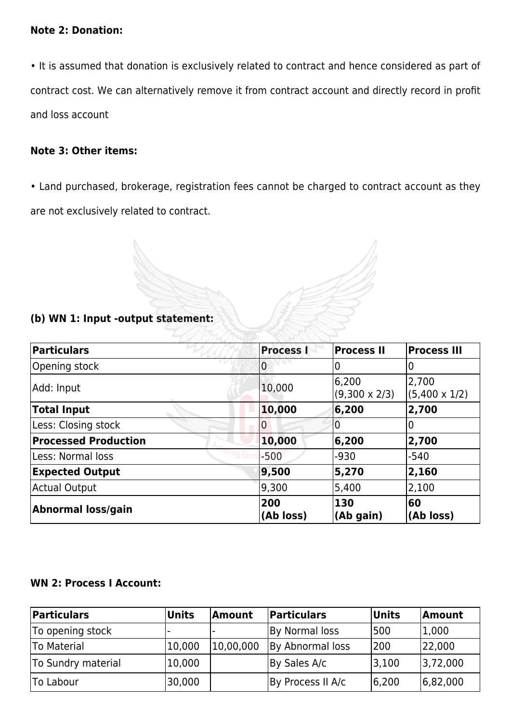#### **Note 2: Donation:**

• It is assumed that donation is exclusively related to contract and hence considered as part of contract cost. We can alternatively remove it from contract account and directly record in profit and loss account

#### **Note 3: Other items:**

• Land purchased, brokerage, registration fees cannot be charged to contract account as they are not exclusively related to contract.

#### **(b) WN 1: Input -output statement:**

| Particulars                 | <b>Process I</b> | <b>Process II</b>             | <b>Process III</b>            |
|-----------------------------|------------------|-------------------------------|-------------------------------|
| Opening stock               | O                |                               | O                             |
| Add: Input                  | 10,000           | 6,200<br>$(9,300 \times 2/3)$ | 2,700<br>$(5,400 \times 1/2)$ |
| <b>Total Input</b>          | 10,000           | 6,200                         | 2,700                         |
| Less: Closing stock         |                  |                               | O                             |
| <b>Processed Production</b> | 10,000           | 6,200                         | 2,700                         |
| Less: Normal loss           | $-500$           | $-930$                        | $-540$                        |
| <b>Expected Output</b>      | 9,500            | 5,270                         | 2,160                         |
| <b>Actual Output</b>        | 9,300            | 5,400                         | 2,100                         |
| Abnormal loss/gain          | 200<br>(Ab loss) | 130<br>(Ab gain)              | 60<br>(Ab loss)               |

#### **WN 2: Process I Account:**

| Particulars        | <b>Units</b> | <b>Amount</b> | <b>Particulars</b> | <b>Units</b> | <b>Amount</b> |
|--------------------|--------------|---------------|--------------------|--------------|---------------|
| To opening stock   |              |               | By Normal loss     | 500          | 1,000         |
| <b>To Material</b> | 10,000       | 10,00,000     | By Abnormal loss   | 200          | 22,000        |
| To Sundry material | 10,000       |               | By Sales A/c       | 3,100        | 3,72,000      |
| <b>To Labour</b>   | 30,000       |               | By Process II A/c  | 6,200        | 6,82,000      |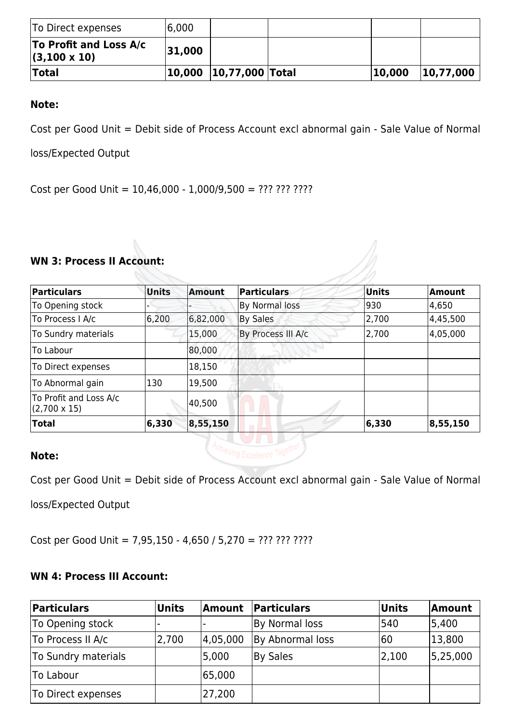| To Direct expenses                            | 16,000 |                        |        |           |
|-----------------------------------------------|--------|------------------------|--------|-----------|
| To Profit and Loss A/c<br>$(3,100 \times 10)$ | 31,000 |                        |        |           |
| <b>Total</b>                                  |        | 10,000 10,77,000 Total | 10,000 | 10,77,000 |

Cost per Good Unit = Debit side of Process Account excl abnormal gain - Sale Value of Normal

loss/Expected Output

Cost per Good Unit = 10,46,000 - 1,000/9,500 = ??? ??? ????

#### **WN 3: Process II Account:**

| Particulars                                   | <b>Units</b> | Amount   | Particulars        | Units | Amount   |
|-----------------------------------------------|--------------|----------|--------------------|-------|----------|
| To Opening stock                              |              |          | By Normal loss     | 930   | 4,650    |
| To Process I A/c                              | 6,200        | 6,82,000 | By Sales           | 2,700 | 4,45,500 |
| To Sundry materials                           |              | 15,000   | By Process III A/c | 2,700 | 4,05,000 |
| lTo Labour                                    |              | 80,000   |                    |       |          |
| To Direct expenses                            |              | 18,150   |                    |       |          |
| To Abnormal gain                              | 130          | 19,500   |                    |       |          |
| To Profit and Loss A/c<br>$(2,700 \times 15)$ |              | 40,500   |                    |       |          |
| Total                                         | 6,330        | 8,55,150 |                    | 6,330 | 8,55,150 |

#### **Note:**

Cost per Good Unit = Debit side of Process Account excl abnormal gain - Sale Value of Normal

loss/Expected Output

Cost per Good Unit = 7,95,150 - 4,650 / 5,270 = ??? ??? ????

#### **WN 4: Process III Account:**

| Particulars         | <b>Units</b> | Amount   | Particulars      | Units | <b>Amount</b> |
|---------------------|--------------|----------|------------------|-------|---------------|
| To Opening stock    |              |          | By Normal loss   | 540   | 5,400         |
| To Process II A/c   | 2,700        | 4,05,000 | By Abnormal loss | 60    | 13,800        |
| To Sundry materials |              | 5,000    | By Sales         | 2,100 | 5,25,000      |
| To Labour           |              | 65,000   |                  |       |               |
| To Direct expenses  |              | 27,200   |                  |       |               |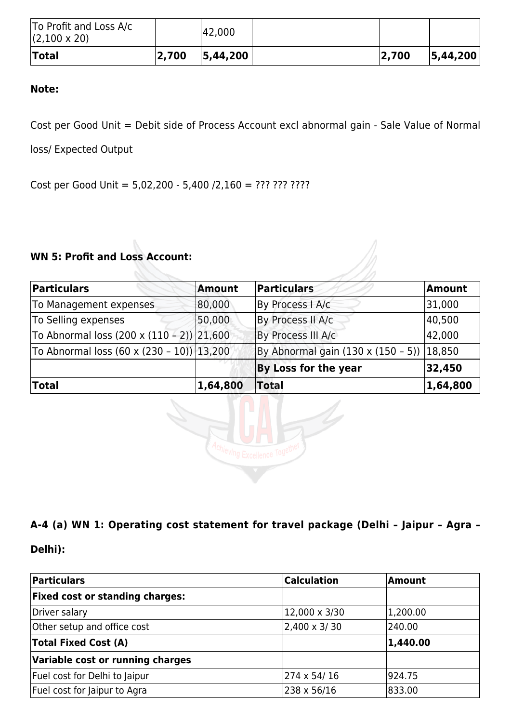| To Profit and Loss A/c<br>$(2,100 \times 20)$ |       | 42,000     |       |            |
|-----------------------------------------------|-------|------------|-------|------------|
| <b>Total</b>                                  | 2,700 | 5, 44, 200 | 2,700 | 5, 44, 200 |

Cost per Good Unit = Debit side of Process Account excl abnormal gain - Sale Value of Normal

loss/ Expected Output

Cost per Good Unit = 5,02,200 - 5,400 /2,160 = ??? ??? ????

#### **WN 5: Profit and Loss Account:**

| Particulars                                      | <b>Amount</b> | Particulars                               | Amount   |
|--------------------------------------------------|---------------|-------------------------------------------|----------|
| To Management expenses                           | 80,000        | By Process   A/c                          | 31,000   |
| To Selling expenses                              | 50,000        | By Process II A/c                         | 40,500   |
| To Abnormal loss $(200 \times (110 - 2))$ 21,600 |               | By Process III A/c                        | 42,000   |
| To Abnormal loss (60 x (230 - 10)) 13,200        |               | By Abnormal gain (130 x (150 - 5)) 18,850 |          |
|                                                  |               | By Loss for the year                      | 32,450   |
| <b>Total</b>                                     | 1,64,800      | Total                                     | 1,64,800 |



### **A-4 (a) WN 1: Operating cost statement for travel package (Delhi – Jaipur – Agra –**

#### **Delhi):**

| Particulars                            | <b>Calculation</b> | <b>Amount</b> |
|----------------------------------------|--------------------|---------------|
| <b>Fixed cost or standing charges:</b> |                    |               |
| Driver salary                          | 12,000 x 3/30      | 1,200.00      |
| Other setup and office cost            | 2,400 x 3/30       | 240.00        |
| <b>Total Fixed Cost (A)</b>            |                    | 1,440.00      |
| Variable cost or running charges       |                    |               |
| Fuel cost for Delhi to Jaipur          | 274 x 54/16        | 924.75        |
| Fuel cost for Jaipur to Agra           | 238 x 56/16        | 833.00        |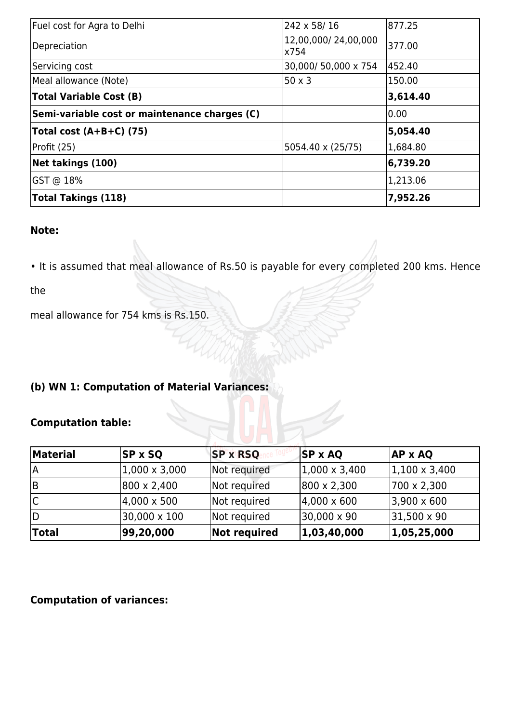| Fuel cost for Agra to Delhi                   | 242 x 58/16                 | 877.25   |
|-----------------------------------------------|-----------------------------|----------|
| Depreciation                                  | 12,00,000/24,00,000<br>x754 | 377.00   |
| Servicing cost                                | 30,000/50,000 x 754         | 452.40   |
| Meal allowance (Note)                         | $50 \times 3$               | 150.00   |
| <b>Total Variable Cost (B)</b>                |                             | 3,614.40 |
| Semi-variable cost or maintenance charges (C) |                             | 0.00     |
| Total cost $(A+B+C)$ (75)                     |                             | 5,054.40 |
| Profit (25)                                   | 5054.40 x (25/75)           | 1,684.80 |
| Net takings (100)                             |                             | 6,739.20 |
| GST @ 18%                                     |                             | 1,213.06 |
| <b>Total Takings (118)</b>                    |                             | 7,952.26 |

• It is assumed that meal allowance of Rs.50 is payable for every completed 200 kms. Hence

the

meal allowance for 754 kms is Rs.150.

### **(b) WN 1: Computation of Material Variances:**

### **Computation table:**

| <b>Material</b> | $ SP \times SQ$      | <b>SP x RSQ</b>     | $SP \times AQ$        | <b>AP x AQ</b>        |
|-----------------|----------------------|---------------------|-----------------------|-----------------------|
| ١A              | $1,000 \times 3,000$ | Not required        | $ 1,000 \times 3,400$ | $ 1,100 \times 3,400$ |
| lВ              | 800 x 2,400          | Not required        | 800 x 2,300           | 700 x 2,300           |
| IС              | $ 4,000 \times 500 $ | Not required        | $ 4,000 \times 600 $  | $ 3,900 \times 600 $  |
| ID              | 30,000 x 100         | Not required        | 30,000 x 90           | $ 31,500 \times 90$   |
| <b>Total</b>    | 99,20,000            | <b>Not required</b> | 1,03,40,000           | 1,05,25,000           |

#### **Computation of variances:**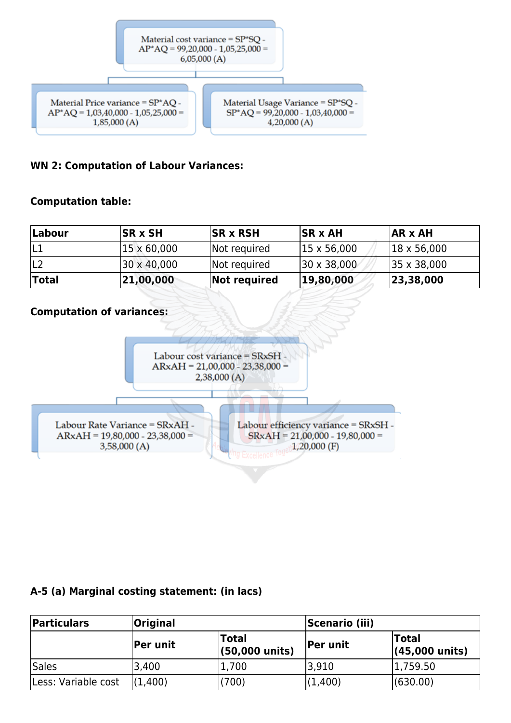

#### **WN 2: Computation of Labour Variances:**

#### **Computation table:**

| Labour       | <b>ISR x SH</b> | <b>ISR x RSH</b> | $ SR \times AH$             | $AR \times AH$       |
|--------------|-----------------|------------------|-----------------------------|----------------------|
| IL1          | 15 x 60,000     | Not required     | $ 15 \times 56,000 $        | $ 18 \times 56,000 $ |
|              | 30 x 40,000     | Not required     | $ 30 \times 38,000 \rangle$ | 35 x 38,000          |
| <b>Total</b> | 21,00,000       | Not required     | 19,80,000                   | 23,38,000            |

#### **Computation of variances:**



#### **A-5 (a) Marginal costing statement: (in lacs)**

| <b>Particulars</b>  | <b>Original</b> |                                          | <b>Scenario (iii)</b> |                                          |  |
|---------------------|-----------------|------------------------------------------|-----------------------|------------------------------------------|--|
|                     | Per unit        | <b>Total</b><br>$(50,000 \text{ units})$ | <b>Per unit</b>       | <b>Total</b><br>$(45,000 \text{ units})$ |  |
| Sales               | 3,400           | 1,700                                    | 3,910                 | 1,759.50                                 |  |
| Less: Variable cost | (1.400)         | (700)                                    | (1,400)               | (630.00)                                 |  |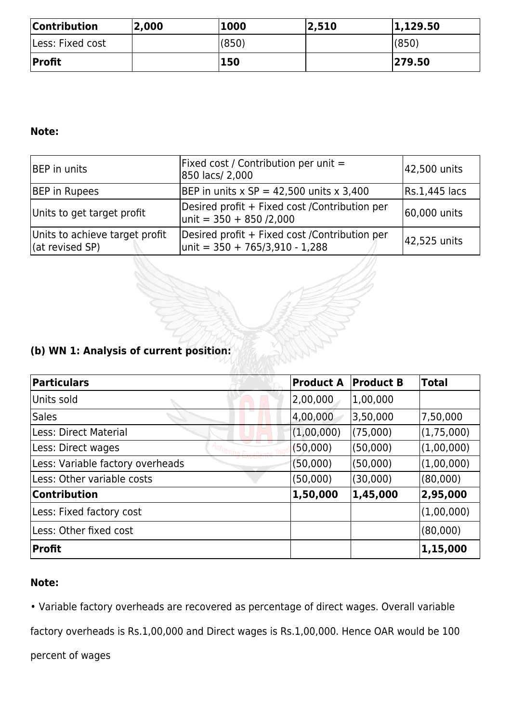| <b>Contribution</b> | 2,000 | '1000 | 2,510 | 1,129.50 |
|---------------------|-------|-------|-------|----------|
| lLess: Fixed cost   |       | (850) |       | (850)    |
| Profit              |       | 150   |       | 279.50   |

| <b>BEP</b> in units                                       | Fixed cost / Contribution per unit $=$<br>850 lacs/ 2,000                            | 42,500 units  |
|-----------------------------------------------------------|--------------------------------------------------------------------------------------|---------------|
| <b>BEP</b> in Rupees                                      | BEP in units $x SP = 42,500$ units $x 3,400$                                         | Rs.1,445 lacs |
| Units to get target profit                                | Desired profit + Fixed cost / Contribution per<br>$ $ unit = 350 + 850 /2,000        | 60,000 units  |
| Units to achieve target profit<br>$\vert$ (at revised SP) | Desired profit + Fixed cost / Contribution per<br>$ $ unit = 350 + 765/3,910 - 1,288 | 42,525 units  |

### **(b) WN 1: Analysis of current position:**

| <b>Particulars</b>               | <b>Product A</b> | <b>Product B</b> | <b>Total</b> |
|----------------------------------|------------------|------------------|--------------|
| Units sold                       | 2,00,000         | 1,00,000         |              |
| <b>Sales</b>                     | 4,00,000         | 3,50,000         | 7,50,000     |
| Less: Direct Material            | (1,00,000)       | (75,000)         | (1,75,000)   |
| Less: Direct wages               | (50,000)         | (50,000)         | (1,00,000)   |
| Less: Variable factory overheads | (50,000)         | (50,000)         | (1,00,000)   |
| Less: Other variable costs       | (50,000)         | (30,000)         | (80,000)     |
| <b>Contribution</b>              | 1,50,000         | 1,45,000         | 2,95,000     |
| Less: Fixed factory cost         |                  |                  | (1,00,000)   |
| Less: Other fixed cost           |                  |                  | (80,000)     |
| <b>Profit</b>                    |                  |                  | 1,15,000     |

### **Note:**

• Variable factory overheads are recovered as percentage of direct wages. Overall variable

factory overheads is Rs.1,00,000 and Direct wages is Rs.1,00,000. Hence OAR would be 100

percent of wages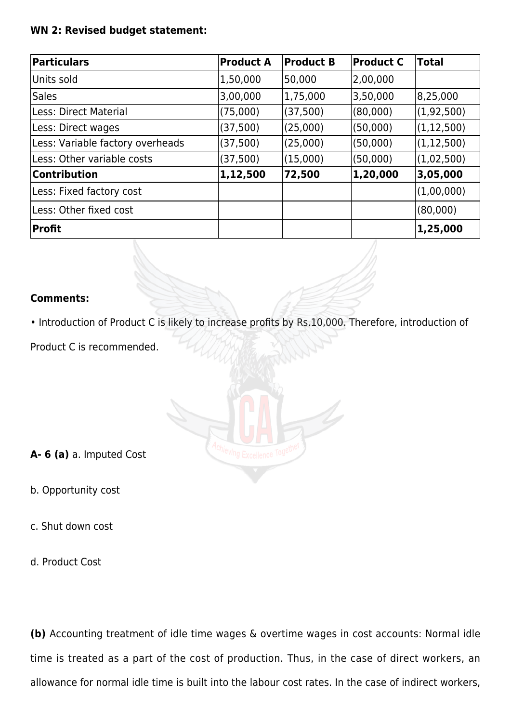#### **WN 2: Revised budget statement:**

| <b>Particulars</b>               | <b>Product A</b> | <b>Product B</b> | <b>Product C</b> | <b>Total</b> |
|----------------------------------|------------------|------------------|------------------|--------------|
| Units sold                       | 1,50,000         | 50,000           | 2,00,000         |              |
| <b>Sales</b>                     | 3,00,000         | 1,75,000         | 3,50,000         | 8,25,000     |
| Less: Direct Material            | (75,000)         | (37, 500)        | (80,000)         | (1, 92, 500) |
| Less: Direct wages               | (37, 500)        | (25,000)         | (50,000)         | (1, 12, 500) |
| Less: Variable factory overheads | (37, 500)        | (25,000)         | (50,000)         | (1, 12, 500) |
| Less: Other variable costs       | (37, 500)        | (15,000)         | (50,000)         | (1,02,500)   |
| <b>Contribution</b>              | 1,12,500         | 72,500           | 1,20,000         | 3,05,000     |
| Less: Fixed factory cost         |                  |                  |                  | (1,00,000)   |
| Less: Other fixed cost           |                  |                  |                  | (80,000)     |
| <b>Profit</b>                    |                  |                  |                  | 1,25,000     |

#### **Comments:**

• Introduction of Product C is likely to increase profits by Rs.10,000. Therefore, introduction of

Product C is recommended.



**A- 6 (a)** a. Imputed Cost

b. Opportunity cost

c. Shut down cost

d. Product Cost

**(b)** Accounting treatment of idle time wages & overtime wages in cost accounts: Normal idle time is treated as a part of the cost of production. Thus, in the case of direct workers, an allowance for normal idle time is built into the labour cost rates. In the case of indirect workers,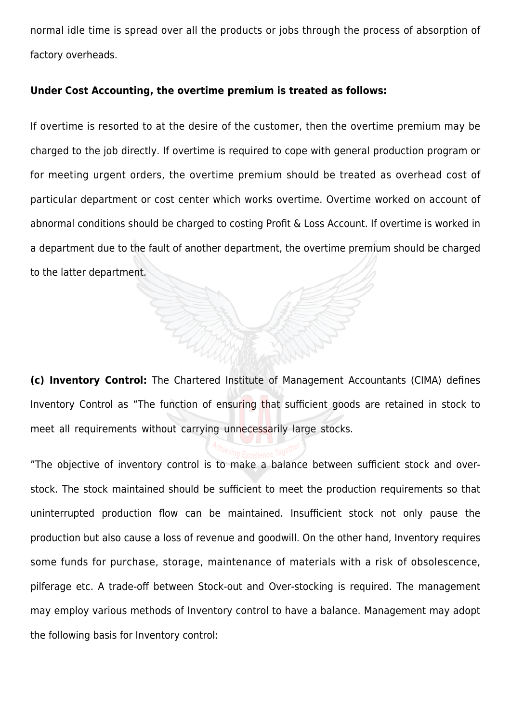normal idle time is spread over all the products or jobs through the process of absorption of factory overheads.

#### **Under Cost Accounting, the overtime premium is treated as follows:**

If overtime is resorted to at the desire of the customer, then the overtime premium may be charged to the job directly. If overtime is required to cope with general production program or for meeting urgent orders, the overtime premium should be treated as overhead cost of particular department or cost center which works overtime. Overtime worked on account of abnormal conditions should be charged to costing Profit & Loss Account. If overtime is worked in a department due to the fault of another department, the overtime premium should be charged to the latter department.

**(c) Inventory Control:** The Chartered Institute of Management Accountants (CIMA) defines Inventory Control as "The function of ensuring that sufficient goods are retained in stock to meet all requirements without carrying unnecessarily large stocks.

"The objective of inventory control is to make a balance between sufficient stock and overstock. The stock maintained should be sufficient to meet the production requirements so that uninterrupted production flow can be maintained. Insufficient stock not only pause the production but also cause a loss of revenue and goodwill. On the other hand, Inventory requires some funds for purchase, storage, maintenance of materials with a risk of obsolescence, pilferage etc. A trade-off between Stock-out and Over-stocking is required. The management may employ various methods of Inventory control to have a balance. Management may adopt the following basis for Inventory control: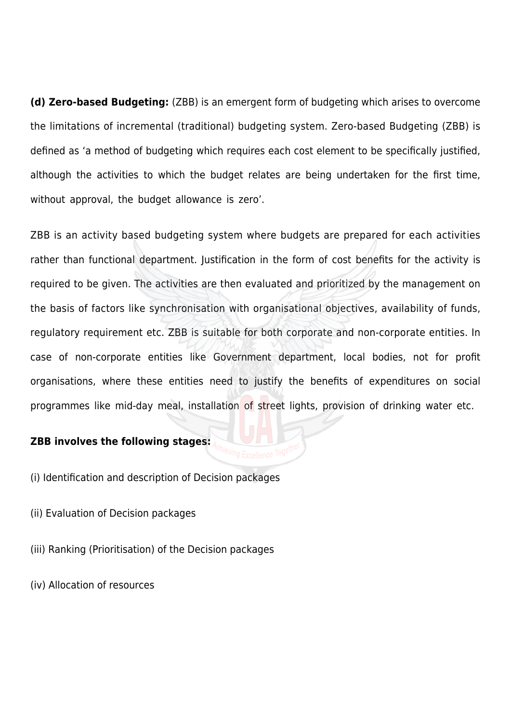**(d) Zero-based Budgeting:** (ZBB) is an emergent form of budgeting which arises to overcome the limitations of incremental (traditional) budgeting system. Zero-based Budgeting (ZBB) is defined as 'a method of budgeting which requires each cost element to be specifically justified, although the activities to which the budget relates are being undertaken for the first time, without approval, the budget allowance is zero'.

ZBB is an activity based budgeting system where budgets are prepared for each activities rather than functional department. Justification in the form of cost benefits for the activity is required to be given. The activities are then evaluated and prioritized by the management on the basis of factors like synchronisation with organisational objectives, availability of funds, regulatory requirement etc. ZBB is suitable for both corporate and non-corporate entities. In case of non-corporate entities like Government department, local bodies, not for profit organisations, where these entities need to justify the benefits of expenditures on social programmes like mid-day meal, installation of street lights, provision of drinking water etc.

#### **ZBB involves the following stages:**

(i) Identification and description of Decision packages

- (ii) Evaluation of Decision packages
- (iii) Ranking (Prioritisation) of the Decision packages

(iv) Allocation of resources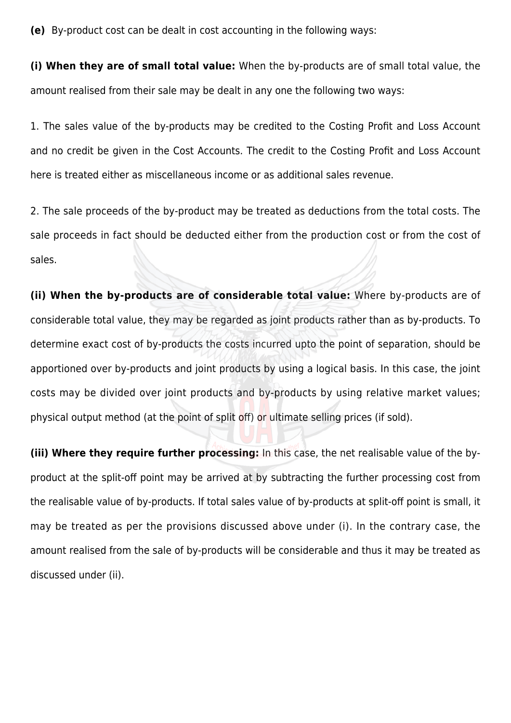**(e)** By-product cost can be dealt in cost accounting in the following ways:

**(i) When they are of small total value:** When the by-products are of small total value, the amount realised from their sale may be dealt in any one the following two ways:

1. The sales value of the by-products may be credited to the Costing Profit and Loss Account and no credit be given in the Cost Accounts. The credit to the Costing Profit and Loss Account here is treated either as miscellaneous income or as additional sales revenue.

2. The sale proceeds of the by-product may be treated as deductions from the total costs. The sale proceeds in fact should be deducted either from the production cost or from the cost of sales.

**(ii) When the by-products are of considerable total value:** Where by-products are of considerable total value, they may be regarded as joint products rather than as by-products. To determine exact cost of by-products the costs incurred upto the point of separation, should be apportioned over by-products and joint products by using a logical basis. In this case, the joint costs may be divided over joint products and by-products by using relative market values; physical output method (at the point of split off) or ultimate selling prices (if sold).

**(iii) Where they require further processing:** In this case, the net realisable value of the byproduct at the split-off point may be arrived at by subtracting the further processing cost from the realisable value of by-products. If total sales value of by-products at split-off point is small, it may be treated as per the provisions discussed above under (i). In the contrary case, the amount realised from the sale of by-products will be considerable and thus it may be treated as discussed under (ii).